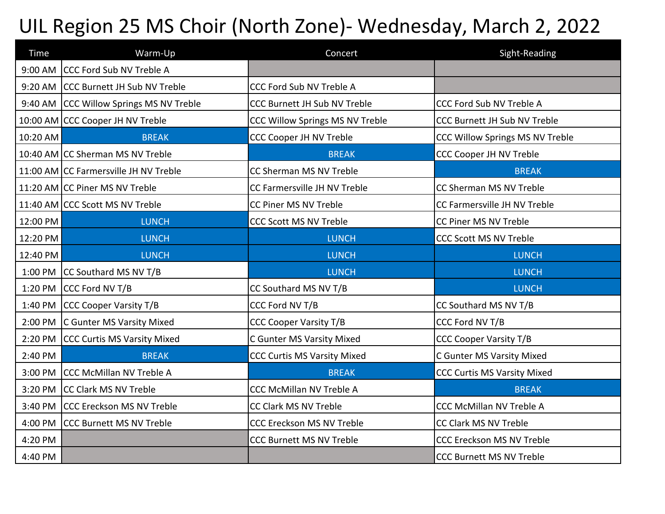## UIL Region 25 MS Choir (North Zone)- Wednesday, March 2, 2022

| Time     | Warm-Up                                 | Concert                            | Sight-Reading                       |
|----------|-----------------------------------------|------------------------------------|-------------------------------------|
|          | 9:00 AM CCC Ford Sub NV Treble A        |                                    |                                     |
|          | 9:20 AM CCC Burnett JH Sub NV Treble    | CCC Ford Sub NV Treble A           |                                     |
|          | 9:40 AM CCC Willow Springs MS NV Treble | CCC Burnett JH Sub NV Treble       | <b>CCC Ford Sub NV Treble A</b>     |
|          | 10:00 AM CCC Cooper JH NV Treble        | CCC Willow Springs MS NV Treble    | <b>CCC Burnett JH Sub NV Treble</b> |
| 10:20 AM | <b>BREAK</b>                            | <b>CCC Cooper JH NV Treble</b>     | CCC Willow Springs MS NV Treble     |
|          | 10:40 AM CC Sherman MS NV Treble        | <b>BREAK</b>                       | <b>CCC Cooper JH NV Treble</b>      |
|          | 11:00 AM CC Farmersville JH NV Treble   | CC Sherman MS NV Treble            | <b>BREAK</b>                        |
|          | 11:20 AM CC Piner MS NV Treble          | CC Farmersville JH NV Treble       | CC Sherman MS NV Treble             |
|          | 11:40 AM CCC Scott MS NV Treble         | CC Piner MS NV Treble              | CC Farmersville JH NV Treble        |
| 12:00 PM | <b>LUNCH</b>                            | <b>CCC Scott MS NV Treble</b>      | CC Piner MS NV Treble               |
| 12:20 PM | <b>LUNCH</b>                            | <b>LUNCH</b>                       | <b>CCC Scott MS NV Treble</b>       |
| 12:40 PM | <b>LUNCH</b>                            | <b>LUNCH</b>                       | <b>LUNCH</b>                        |
|          | 1:00 PM CC Southard MS NV T/B           | <b>LUNCH</b>                       | <b>LUNCH</b>                        |
|          | 1:20 PM CCC Ford NV T/B                 | CC Southard MS NV T/B              | <b>LUNCH</b>                        |
|          | 1:40 PM CCC Cooper Varsity T/B          | CCC Ford NV T/B                    | CC Southard MS NV T/B               |
|          | 2:00 PM C Gunter MS Varsity Mixed       | <b>CCC Cooper Varsity T/B</b>      | CCC Ford NV T/B                     |
|          | 2:20 PM CCC Curtis MS Varsity Mixed     | C Gunter MS Varsity Mixed          | <b>CCC Cooper Varsity T/B</b>       |
| 2:40 PM  | <b>BREAK</b>                            | <b>CCC Curtis MS Varsity Mixed</b> | C Gunter MS Varsity Mixed           |
|          | 3:00 PM CCC McMillan NV Treble A        | <b>BREAK</b>                       | <b>CCC Curtis MS Varsity Mixed</b>  |
|          | 3:20 PM CC Clark MS NV Treble           | <b>CCC McMillan NV Treble A</b>    | <b>BREAK</b>                        |
|          | 3:40 PM CCC Ereckson MS NV Treble       | CC Clark MS NV Treble              | <b>CCC McMillan NV Treble A</b>     |
|          | 4:00 PM CCC Burnett MS NV Treble        | CCC Ereckson MS NV Treble          | CC Clark MS NV Treble               |
| 4:20 PM  |                                         | <b>CCC Burnett MS NV Treble</b>    | CCC Ereckson MS NV Treble           |
| 4:40 PM  |                                         |                                    | <b>CCC Burnett MS NV Treble</b>     |